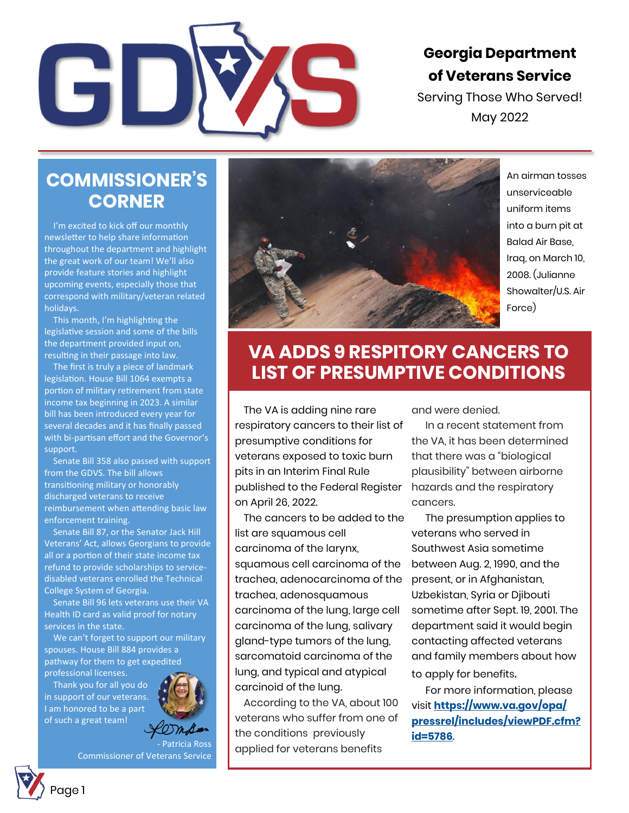

### **Georgia Department of Veterans Service**

Serving Those Who Served! May 2022

#### **COMMISSIONER'S CORNER**

I'm excited to kick off our monthly newsletter to help share information throughout the department and highlight the great work of our team! We'll also provide feature stories and highlight upcoming events, especially those that correspond with military/veteran related holidays.

This month, I'm highlighting the legislative session and some of the bills the department provided input on, resulting in their passage into law.

The first is truly a piece of landmark legislation. [House Bill 1064 e](https://gov.georgia.gov/executive-action/legislation/signed-legislation/2022-signed-legislation)xempts a portion of military retirement from state income tax beginning in 2023. A similar bill has been introduced every year for several decades and it has finally passed with bi-partisan effort and the Governor's support.

Senate Bill 358 also passed with support from the GDVS. The bill allows transitioning military or honorably discharged veterans to receive reimbursement when attending basic law enforcement training.

Senate Bill 87, or the Senator Jack Hill Veterans' Act, allows Georgians to provide all or a portion of their state income tax refund to provide scholarships to servicedisabled veterans enrolled the Technical College System of Georgia.

Senate Bill 96 lets veterans use their VA Health ID card as valid proof for notary services in the state.

We can't forget to support our military spouses. House Bill 884 provides a pathway for them to get expedited professional licenses.

Thank you for all you do in support of our veterans. I am honored to be a part of such a great team!



- Patricia Ross Commissioner of Veterans Service



An airman tosses unserviceable uniform items into a burn pit at Balad Air Base, Iraq, on March 10, 2008. (Julianne Showalter/U.S. Air Force)

# **VA ADDS 9 RESPITORY CANCERS TO LIST OF PRESUMPTIVE CONDITIONS**

The VA is adding nine rare respiratory cancers to their list of presumptive conditions for veterans exposed to toxic burn pits in an Interim Final Rule published to the Federal Register on April 26, 2022.

The cancers to be added to the list are squamous cell carcinoma of the larynx, squamous cell carcinoma of the trachea, adenocarcinoma of the trachea, adenosquamous carcinoma of the lung, large cell carcinoma of the lung, salivary gland-type tumors of the lung, sarcomatoid carcinoma of the lung, and typical and atypical carcinoid of the lung.

According to the VA, about 100 veterans who suffer from one of the conditions previously applied for veterans benefits

and were denied.

In a recent statement from the VA, it has been determined that there was a "biological plausibility" between airborne hazards and the respiratory cancers.

The presumption applies to veterans who served in Southwest Asia sometime between Aug. 2, 1990, and the present, or in Afghanistan, Uzbekistan, Syria or Djibouti sometime after Sept. 19, 2001. The department said it would begin contacting affected veterans and family members about how to apply for benefits.

For more information, please visit **[https://www.va.gov/opa/](https://www.va.gov/opa/pressrel/includes/viewPDF.cfm?id=5786) [pressrel/includes/viewPDF.cfm?](https://www.va.gov/opa/pressrel/includes/viewPDF.cfm?id=5786) [id=5786](https://www.va.gov/opa/pressrel/includes/viewPDF.cfm?id=5786)**.

Page 1